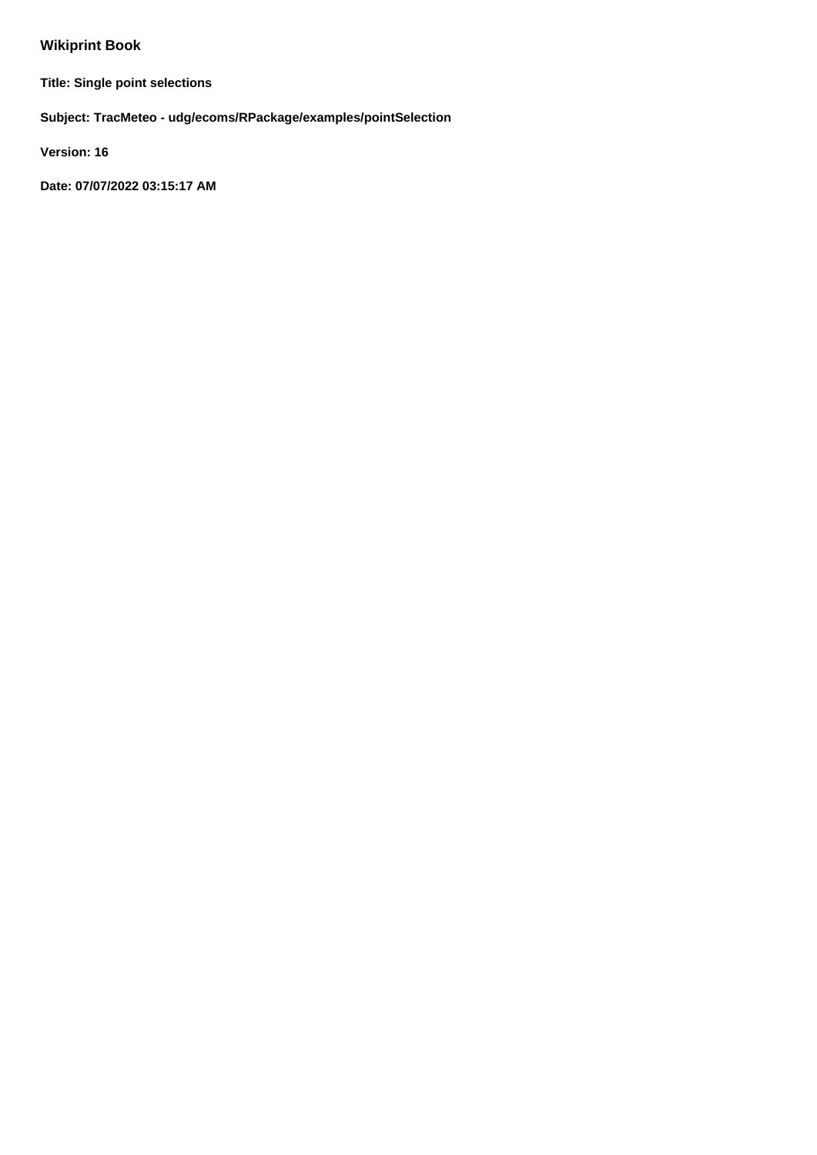## **Wikiprint Book**

**Title: Single point selections**

**Subject: TracMeteo - udg/ecoms/RPackage/examples/pointSelection**

**Version: 16**

**Date: 07/07/2022 03:15:17 AM**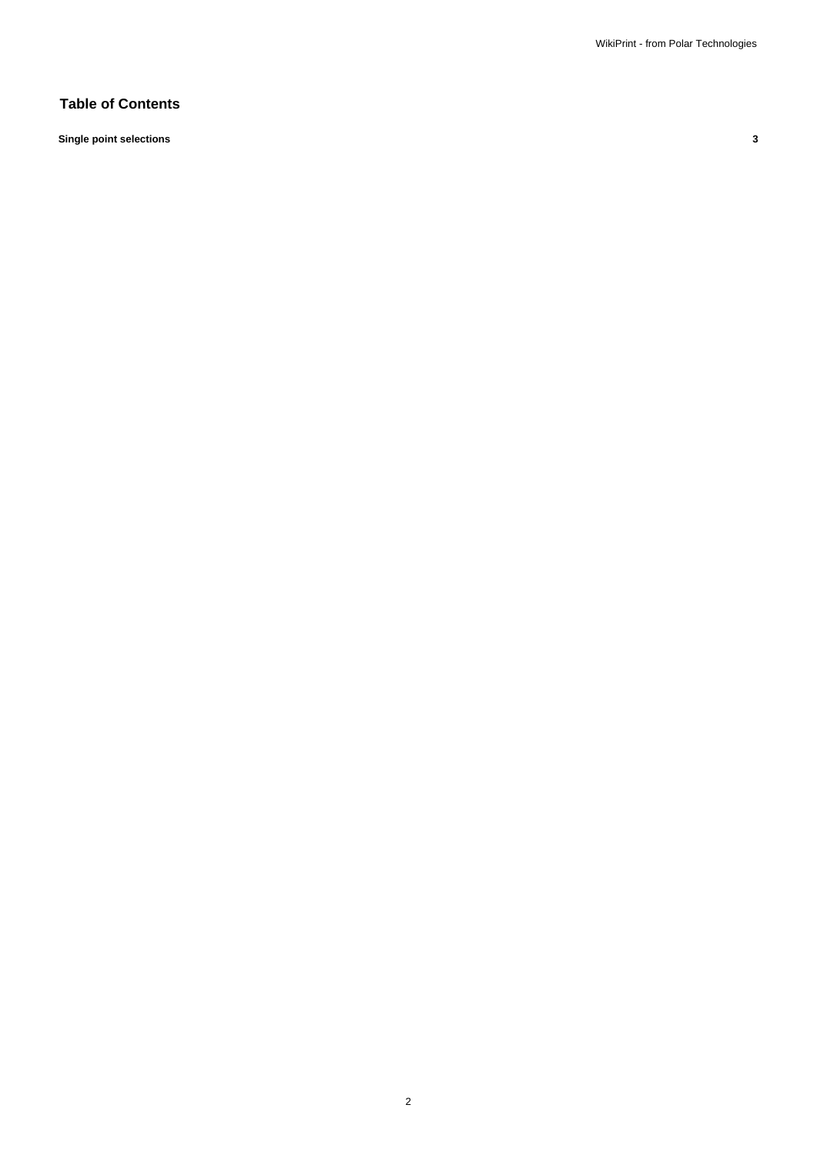### **Table of Contents**

**Single point selections 3**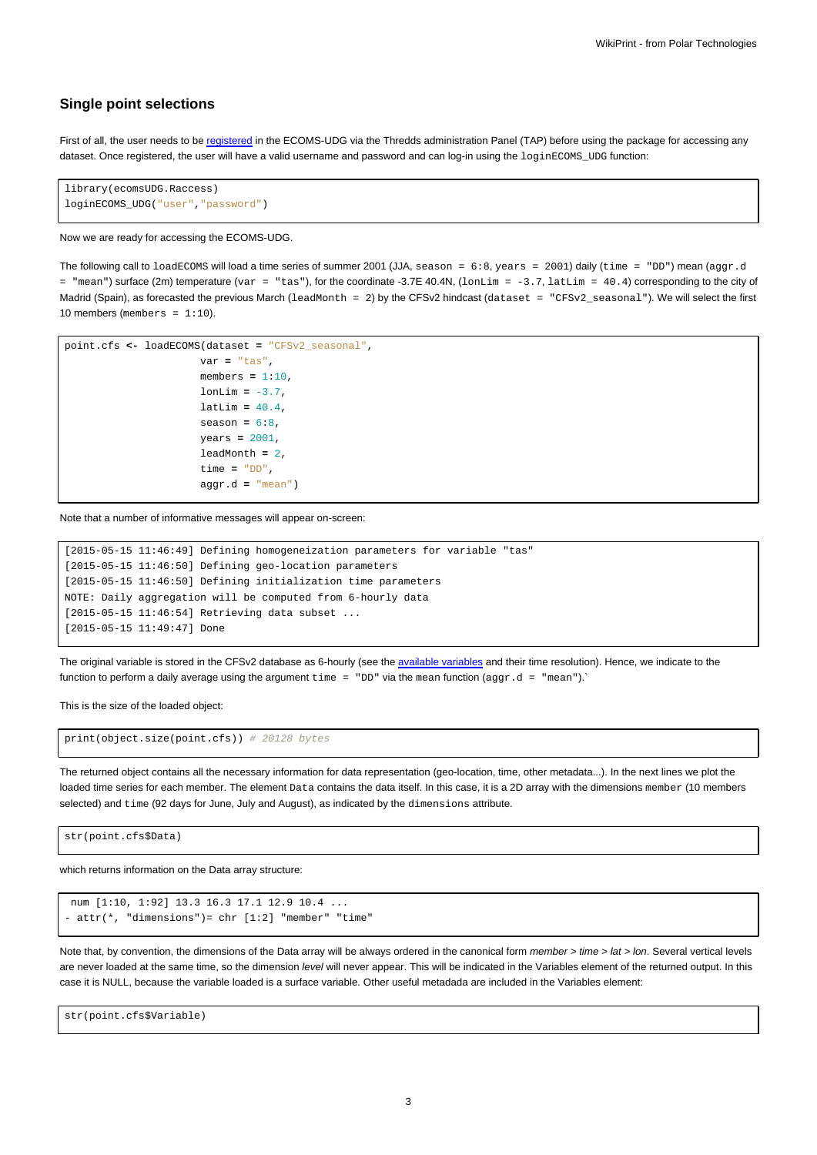#### **Single point selections**

First of all, the user needs to be [registered](https://meteo.unican.es/trac/wiki/udg/registration) in the ECOMS-UDG via the Thredds administration Panel (TAP) before using the package for accessing any dataset. Once registered, the user will have a valid username and password and can log-in using the loginECOMS\_UDG function:

```
library(ecomsUDG.Raccess)
loginECOMS_UDG("user","password")
```
#### Now we are ready for accessing the ECOMS-UDG.

The following call to loadECOMS will load a time series of summer 2001 (JJA, season = 6:8, years = 2001) daily (time = "DD") mean (aggr.d = "mean") surface (2m) temperature (var = "tas"), for the coordinate -3.7E 40.4N, (lonLim = -3.7, latLim = 40.4) corresponding to the city of Madrid (Spain), as forecasted the previous March (leadMonth = 2) by the CFSv2 hindcast (dataset = "CFSv2\_seasonal"). We will select the first 10 members (members =  $1:10$ ).

```
point.cfs <- loadECOMS(dataset = "CFSv2_seasonal",
                      var = "tas",
                      members = 1:10,
                      lonLim = -3.7,
                      latLim = 40.4,
                      season = 6:8,
                      years = 2001,
                      leadMonth = 2,
                      time = "DD",
                      aggr.d = "mean")
```
Note that a number of informative messages will appear on-screen:

```
[2015-05-15 11:46:49] Defining homogeneization parameters for variable "tas"
[2015-05-15 11:46:50] Defining geo-location parameters
[2015-05-15 11:46:50] Defining initialization time parameters
NOTE: Daily aggregation will be computed from 6-hourly data
[2015-05-15 11:46:54] Retrieving data subset ...
[2015-05-15 11:49:47] Done
```
The original variable is stored in the CFSv2 database as 6-hourly (see the [available variables](https://meteo.unican.es/trac/wiki/udg/ecoms/dataserver/listofvariables) and their time resolution). Hence, we indicate to the function to perform a daily average using the argument  $\tt time = "DD"$  via the mean function ( $\text{aggr.d} = "mean").$ 

This is the size of the loaded object:

print(object.size(point.cfs)) # 20128 bytes

The returned object contains all the necessary information for data representation (geo-location, time, other metadata...). In the next lines we plot the loaded time series for each member. The element Data contains the data itself. In this case, it is a 2D array with the dimensions member (10 members selected) and time (92 days for June, July and August), as indicated by the dimensions attribute.

str(point.cfs\$Data)

which returns information on the Data array structure:

```
num [1:10, 1:92] 13.3 16.3 17.1 12.9 10.4 ...
- attr(*, "dimensions") = chr [1:2] "member" "time"
```
Note that, by convention, the dimensions of the Data array will be always ordered in the canonical form member > time > lat > lon. Several vertical levels are never loaded at the same time, so the dimension level will never appear. This will be indicated in the Variables element of the returned output. In this case it is NULL, because the variable loaded is a surface variable. Other useful metadada are included in the Variables element:

str(point.cfs\$Variable)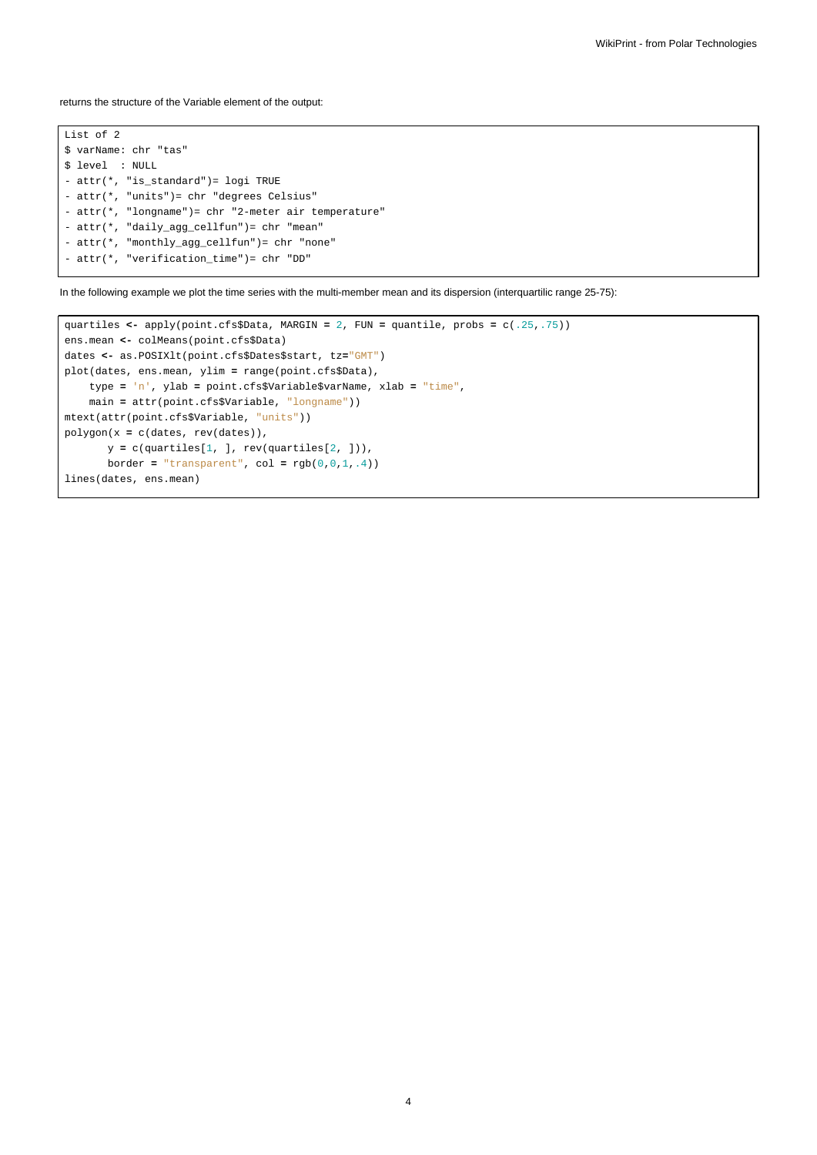returns the structure of the Variable element of the output:

List of 2 \$ varName: chr "tas" \$ level : NULL - attr(\*, "is\_standard")= logi TRUE - attr(\*, "units")= chr "degrees Celsius" - attr(\*, "longname")= chr "2-meter air temperature" - attr(\*, "daily\_agg\_cellfun")= chr "mean" - attr(\*, "monthly\_agg\_cellfun")= chr "none" - attr(\*, "verification\_time")= chr "DD"

In the following example we plot the time series with the multi-member mean and its dispersion (interquartilic range 25-75):

```
quartiles <- apply(point.cfs$Data, MARGIN = 2, FUN = quantile, probs = c(.25,.75))
ens.mean <- colMeans(point.cfs$Data)
dates <- as.POSIXlt(point.cfs$Dates$start, tz="GMT")
plot(dates, ens.mean, ylim = range(point.cfs$Data),
   type = 'n', ylab = point.cfs$Variable$varName, xlab = "time",
    main = attr(point.cfs$Variable, "longname"))
mtext(attr(point.cfs$Variable, "units"))
polygon(x = c(dates, rev(dates)),
      y = c(quartiles[1, ], rev(quartiles[2, ])),
      border = "transparent", col = rgb(0,0,1,.4))
lines(dates, ens.mean)
```